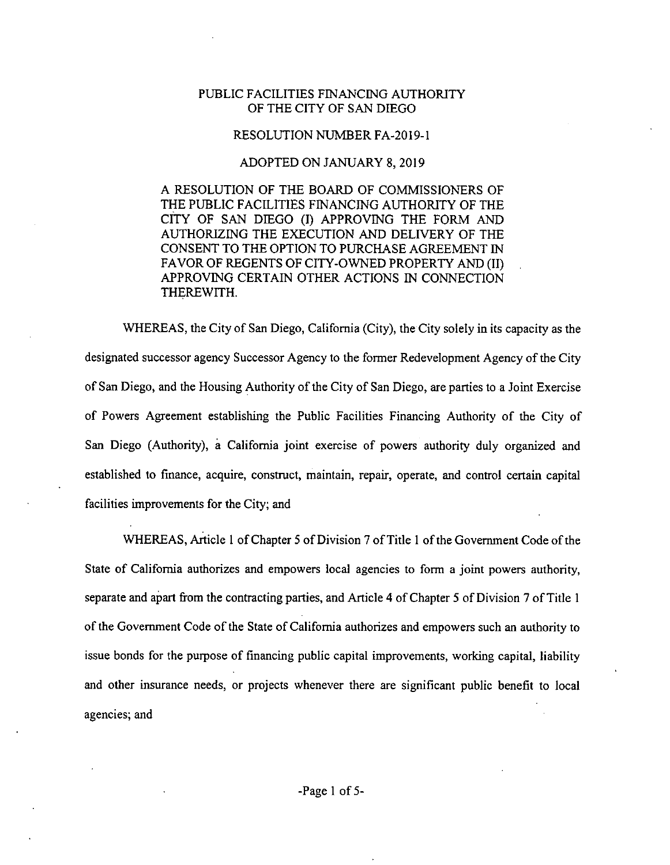## PUBLIC FACILITIES FINANCING AUTHORITY OF THE CITY OF SAN DIEGO

## RESOLUTION NUMBER FA-2019-1

## ADOPTED ON JANUARY 8, 2019

A RESOLUTION OF THE BOARD OF COMMISSIONERS OF THE PUBLIC FACILITIES FINANCING AUTHORITY OF THE CITY OF SAN DIEGO (I) APPROVING THE FORM AND AUTHORIZING THE EXECUTION AND DELIVERY OF THE CONSENT TO THE OPTION TO PURCHASE AGREEMENT IN FAVOR OF REGENTS OF CITY-OWNED PROPERTY AND (II) APPROVING CERTAIN OTHER ACTIONS IN CONNECTION THEREWITH.

WHEREAS, the City of San Diego, California (City), the City solely in its capacity as the designated successor agency Successor Agency to the former Redevelopment Agency of the City of San Diego, and the Housing Authority of the City of San Diego, are parties to a Joint Exercise of Powers Agreement establishing the Public Facilities Financing Authority of the City of San Diego (Authority), a California joint exercise of powers authority duly organized and established to finance, acquire, construct, maintain, repair, operate, and control certain capital facilities improvements for the City; and

WHEREAS, Article 1 of Chapter 5 of Division 7 of Title 1 of the Government Code of the State of California authorizes and empowers local agencies to form a joint powers authority. separate and apart from the contracting parties, and Article 4 of Chapter 5 of Division 7 of Title 1 of the Government Code of the State of California authorizes and empowers such an authority to issue bonds for the purpose of financing public capital improvements, working capital, liability and other insurance needs, or projects whenever there are significant public benefit to local agencies; and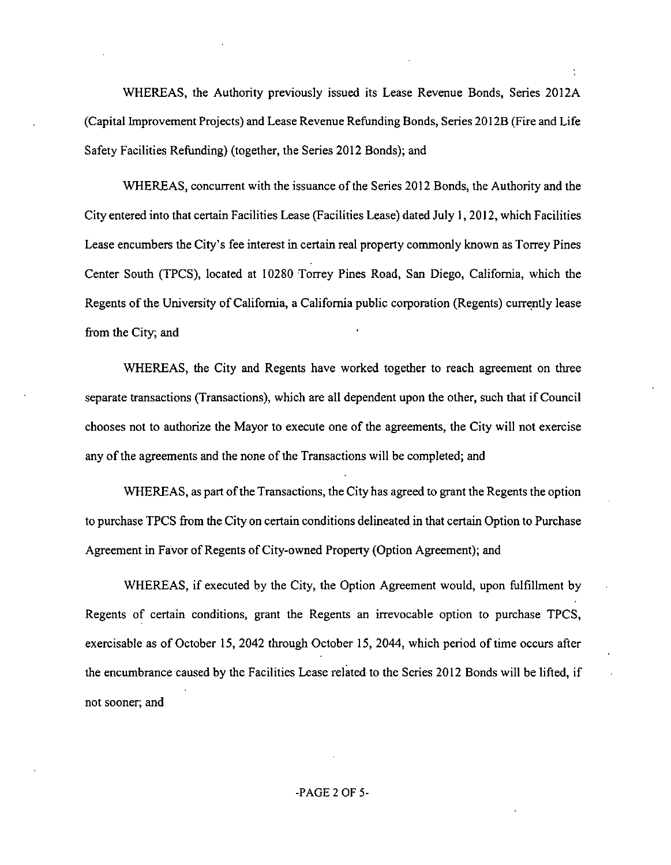WHEREAS, the Authority previously issued its Lease Revenue Bonds, Series 2012A (Capital Improvement Projects) and Lease Revenue RefundingBonds, Series 2012B (Fire and Life Safety Facilities Refunding) (together, the Series 2012 Bonds); and

WHEREAS, concurrent with the issuance of the Series 2012 Bonds, the Authority and the City entered into that certain Facilities Lease (Facilities Lease) dated July 1,2012, which Facilities Lease encumbers the City's fee interest in certain real property commonly known as Torrey Pines Center South (TPCS), located at 10280 Torrey Pines Road, San Diego, California, which the Regents of the University of California, a California public corporation (Regents) currently lease from the City; and

WHEREAS, the City and Regents have worked together to reach agreement on three separate transactions (Transactions), which are all dependent upon the other, such that ifCouncil chooses not to authorize the Mayor to execute one of the agreements, the City will not exercise any of the agreements and the none of the Transactions will be completed; and

WHEREAS, as part of the Transactions, the City has agreed to grant the Regents the option to purchase TPCS from the City on certain conditions delineated in that certain Option to Purchase Agreement in Favor of Regents of City-owned Property (Option Agreement); and

WHEREAS, if executed by the City, the Option Agreement would, upon fulfillment by Regents of certain conditions, grant the Regents an irrevocable option to purchase TPCS, exercisable as of October 15, 2042 through October 15, 2044, which period of time occurs after the encumbrance caused by the Facilities Lease related to the Series 2012 Bonds will be lifted, if not sooner; and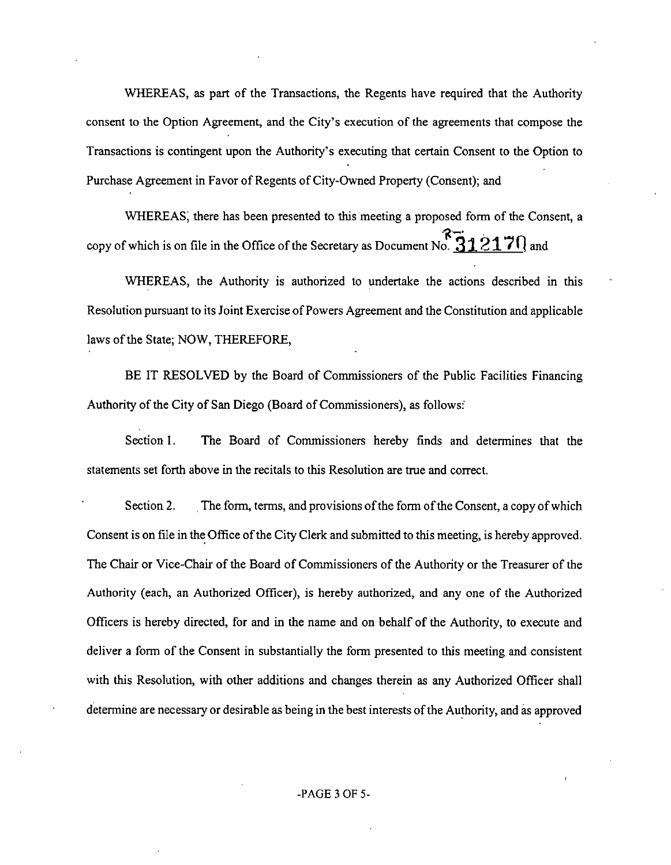WHEREAS, as part of the Transactions, the Regents have required that the Authority consent to the Option Agreement, and the City's execution of the agreements that compose the Transactions is contingent upon the Authority's executing that certain Consent to the Option to Purchase Agreement in Favor of Regents of City-Owned Property (Consent); and

WHEREAS, there has been presented to this meeting a proposed form of the Consent, a copy of which is on file in the Office of the Secretary as Document No.  $\frac{312121}{10}$  and

WHEREAS, the Authority is authorized to undertake the actions described in this Resolution pursuant to its Joint Exercise of Powers Agreement and the Constitution and applicable laws of the State; NOW, THEREFORE,

BE IT RESOLVED by the Board of Commissioners of the Public Facilities Financing Authority of the City of San Diego (Board of Commissioners), as follows:

Section 1. The Board of Commissioners hereby finds and determines that the statements set forth above in the recitals to this Resolution are true and correct.

Section 2. The form, terms, and provisions of the form of the Consent, a copy of which Consent is on file in the Office of the City Clerk and submitted to this meeting, is hereby approved. The Chair or Vice-Chair of the Board of Commissioners of the Authority or the Treasurer of the Authority (each, an Authorized Officer), is hereby authorized, and any one of the Authorized Officers is hereby directed, for and in the name and on behalf of the Authority, to execute and deliver a form of the Consent in substantially the form presented to this meeting and consistent with this Resolution, with other additions and changes therein as any Authorized Officer shall determine are necessary or desirable as being in the best interests of the Authority, and as approved

I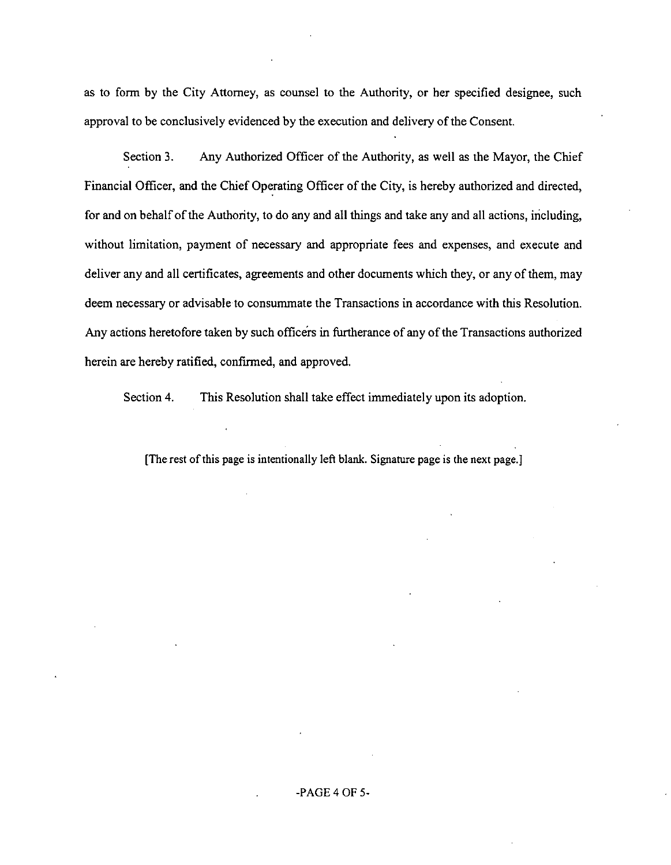as to form by the City Attorney, as counsel to the Authority, or her specified designee, such approval to be conclusively evidenced by the execution and delivery of the Consent.

Section 3. Any Authorized Officer of the Authority, as well as the Mayor, the Chief Financial Officer, and the Chief Operating Officer of the City, is hereby authorized and directed, for and on behalf of the Authority, to do any and all things and take any and all actions, including, without limitation, payment of necessary and appropriate fees and expenses, and execute and deliver any and all certificates, agreements and other documents which they, or any ofthem, may deem necessary or advisable to consummate the Transactions in accordance with this Resolution. Any actions heretofore taken by such officers in furtherance of any of the Transactions authorized herein are hereby ratified, confirmed, and approved.

Section 4. This Resolution shall take effect immediately upon its adoption.

[The rest of this page is intentionally left blank. Signature page is the next page.]

## -PAGE 4 OF 5-